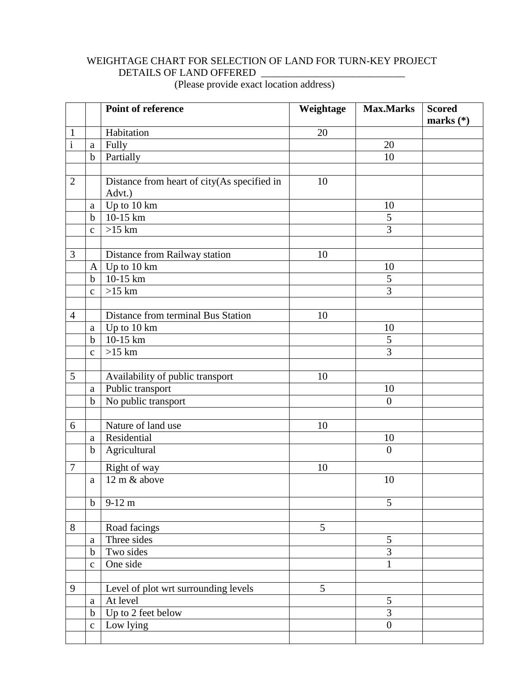## WEIGHTAGE CHART FOR SELECTION OF LAND FOR TURN-KEY PROJECT DETAILS OF LAND OFFERED \_\_\_\_\_\_\_\_\_\_\_\_\_\_\_\_\_\_\_\_\_\_\_\_\_\_\_\_

(Please provide exact location address)

|                         |              | <b>Point of reference</b>                   | Weightage | <b>Max.Marks</b> | <b>Scored</b> |
|-------------------------|--------------|---------------------------------------------|-----------|------------------|---------------|
|                         |              |                                             |           |                  | marks $(*)$   |
| $\mathbf{1}$            |              | Habitation                                  | 20        |                  |               |
| $\overline{\mathbf{i}}$ | a            | Fully                                       |           | 20               |               |
|                         | $\mathbf b$  | Partially                                   |           | 10               |               |
|                         |              |                                             |           |                  |               |
| 2                       |              | Distance from heart of city(As specified in | 10        |                  |               |
|                         |              | Advt.)                                      |           |                  |               |
|                         | a            | Up to 10 km<br>10-15 km                     |           | 10<br>5          |               |
|                         | $\mathbf b$  |                                             |           | 3                |               |
|                         | $\mathbf c$  | $>15$ km                                    |           |                  |               |
| $\overline{3}$          |              | Distance from Railway station               | 10        |                  |               |
|                         | $\mathbf{A}$ | Up to 10 km                                 |           | 10               |               |
|                         | $\mathbf b$  | 10-15 km                                    |           | 5                |               |
|                         | $\mathbf{c}$ | $>15$ km                                    |           | 3                |               |
|                         |              |                                             |           |                  |               |
| $\overline{4}$          |              | Distance from terminal Bus Station          | 10        |                  |               |
|                         | a            | Up to 10 km                                 |           | 10               |               |
|                         | $\mathbf b$  | 10-15 km                                    |           | 5                |               |
|                         | $\mathbf c$  | $>15$ km                                    |           | 3                |               |
|                         |              |                                             |           |                  |               |
| 5                       |              | Availability of public transport            | 10        |                  |               |
|                         | a            | Public transport                            |           | 10               |               |
|                         | $\mathbf b$  | No public transport                         |           | $\overline{0}$   |               |
|                         |              |                                             |           |                  |               |
| 6                       |              | Nature of land use                          | 10        |                  |               |
|                         | a            | Residential                                 |           | 10               |               |
|                         | $\mathbf b$  | $\overline{A}$ gricultural                  |           | $\overline{0}$   |               |
| $\overline{7}$          |              | Right of way                                | 10        |                  |               |
|                         | $\mathbf{a}$ | 12 m & above                                |           | 10               |               |
|                         | $\mathbf b$  | $9-12 \text{ m}$                            |           | 5                |               |
|                         |              |                                             |           |                  |               |
| 8                       |              | Road facings                                | 5         |                  |               |
|                         | $\rm{a}$     | Three sides                                 |           | 5                |               |
|                         | $\mathbf b$  | Two sides                                   |           | $\overline{3}$   |               |
|                         | $\mathbf{C}$ | One side                                    |           | 1                |               |
|                         |              |                                             |           |                  |               |
| 9                       |              | Level of plot wrt surrounding levels        | 5         |                  |               |
|                         | $\mathbf{a}$ | At level                                    |           | 5                |               |
|                         | $\mathbf b$  | Up to 2 feet below                          |           | 3                |               |
|                         | $\mathbf C$  | Low lying                                   |           | $\overline{0}$   |               |
|                         |              |                                             |           |                  |               |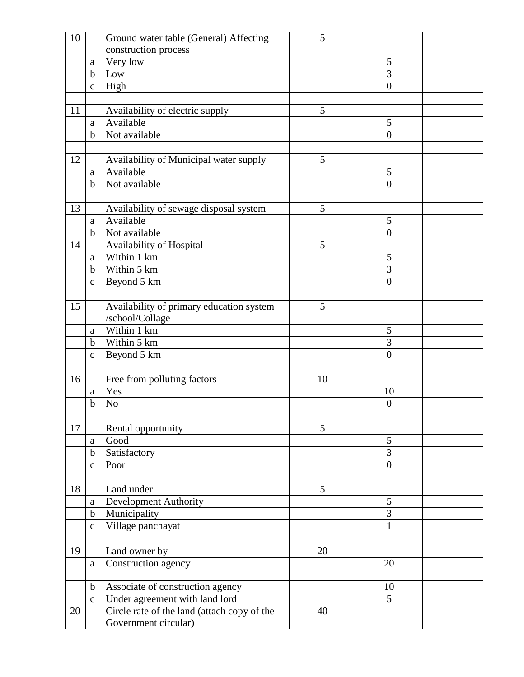| 10 |              | Ground water table (General) Affecting      | 5  |                  |  |
|----|--------------|---------------------------------------------|----|------------------|--|
|    |              | construction process                        |    |                  |  |
|    | a            | Very low                                    |    | 5                |  |
|    | $\mathbf b$  | Low                                         |    | 3                |  |
|    | $\mathbf C$  | High                                        |    | $\overline{0}$   |  |
|    |              |                                             |    |                  |  |
| 11 |              | Availability of electric supply             | 5  |                  |  |
|    | $\mathbf{a}$ | Available                                   |    | 5                |  |
|    | $\mathbf b$  | Not available                               |    | $\overline{0}$   |  |
|    |              |                                             |    |                  |  |
| 12 |              | Availability of Municipal water supply      | 5  |                  |  |
|    | $\mathbf{a}$ | Available                                   |    | 5                |  |
|    | $\mathbf b$  | Not available                               |    | $\overline{0}$   |  |
|    |              |                                             |    |                  |  |
| 13 |              | Availability of sewage disposal system      | 5  |                  |  |
|    | $\mathbf{a}$ | Available                                   |    | 5                |  |
|    | b            | Not available                               |    | $\overline{0}$   |  |
| 14 |              | Availability of Hospital                    | 5  |                  |  |
|    | a            | Within 1 km                                 |    | 5                |  |
|    | $\mathbf b$  | Within 5 km                                 |    | 3                |  |
|    | $\mathbf c$  | Beyond 5 km                                 |    | $\overline{0}$   |  |
|    |              |                                             |    |                  |  |
| 15 |              | Availability of primary education system    | 5  |                  |  |
|    |              | /school/Collage                             |    |                  |  |
|    | a            | Within 1 km                                 |    | 5                |  |
|    | $\mathbf b$  | Within 5 km                                 |    | 3                |  |
|    | $\mathbf C$  | Beyond 5 km                                 |    | $\overline{0}$   |  |
|    |              |                                             |    |                  |  |
| 16 |              | Free from polluting factors                 | 10 |                  |  |
|    | a            | Yes                                         |    | 10               |  |
|    | $\mathbf b$  | N <sub>o</sub>                              |    | $\boldsymbol{0}$ |  |
|    |              |                                             |    |                  |  |
| 17 |              | Rental opportunity                          | 5  |                  |  |
|    | a            | Good                                        |    | 5                |  |
|    | $\mathbf b$  | Satisfactory                                |    | 3                |  |
|    | $\mathbf{C}$ | Poor                                        |    | $\overline{0}$   |  |
|    |              |                                             |    |                  |  |
| 18 |              | Land under                                  | 5  |                  |  |
|    | a            | <b>Development Authority</b>                |    | 5                |  |
|    | $\mathbf b$  | Municipality                                |    | 3                |  |
|    | $\mathbf{C}$ | Village panchayat                           |    | $\mathbf{1}$     |  |
|    |              |                                             |    |                  |  |
| 19 |              | Land owner by                               | 20 |                  |  |
|    | $\mathbf{a}$ | Construction agency                         |    | 20               |  |
|    |              |                                             |    |                  |  |
|    | $\mathbf b$  | Associate of construction agency            |    | 10               |  |
|    | $\mathbf{c}$ | Under agreement with land lord              |    | 5                |  |
| 20 |              | Circle rate of the land (attach copy of the | 40 |                  |  |
|    |              | Government circular)                        |    |                  |  |